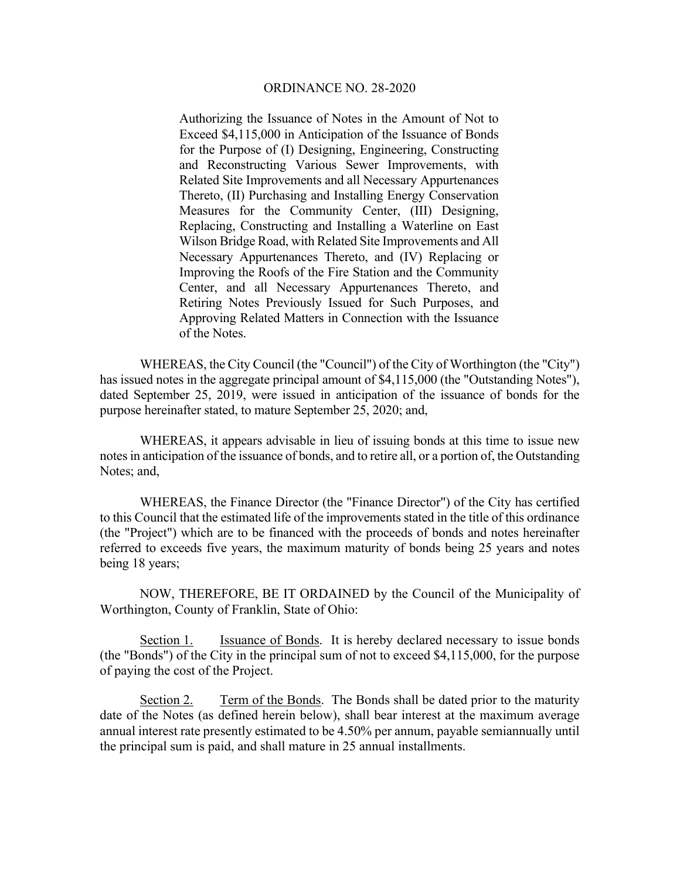Authorizing the Issuance of Notes in the Amount of Not to Exceed \$4,115,000 in Anticipation of the Issuance of Bonds for the Purpose of (I) Designing, Engineering, Constructing and Reconstructing Various Sewer Improvements, with Related Site Improvements and all Necessary Appurtenances Thereto, (II) Purchasing and Installing Energy Conservation Measures for the Community Center, (III) Designing, Replacing, Constructing and Installing a Waterline on East Wilson Bridge Road, with Related Site Improvements and All Necessary Appurtenances Thereto, and (IV) Replacing or Improving the Roofs of the Fire Station and the Community Center, and all Necessary Appurtenances Thereto, and Retiring Notes Previously Issued for Such Purposes, and Approving Related Matters in Connection with the Issuance of the Notes.

 WHEREAS, the City Council (the "Council") of the City of Worthington (the "City") has issued notes in the aggregate principal amount of \$4,115,000 (the "Outstanding Notes"), dated September 25, 2019, were issued in anticipation of the issuance of bonds for the purpose hereinafter stated, to mature September 25, 2020; and,

 WHEREAS, it appears advisable in lieu of issuing bonds at this time to issue new notes in anticipation of the issuance of bonds, and to retire all, or a portion of, the Outstanding Notes; and,

 WHEREAS, the Finance Director (the "Finance Director") of the City has certified to this Council that the estimated life of the improvements stated in the title of this ordinance (the "Project") which are to be financed with the proceeds of bonds and notes hereinafter referred to exceeds five years, the maximum maturity of bonds being 25 years and notes being 18 years;

 NOW, THEREFORE, BE IT ORDAINED by the Council of the Municipality of Worthington, County of Franklin, State of Ohio:

Section 1. Issuance of Bonds. It is hereby declared necessary to issue bonds (the "Bonds") of the City in the principal sum of not to exceed \$4,115,000, for the purpose of paying the cost of the Project.

Section 2. Term of the Bonds. The Bonds shall be dated prior to the maturity date of the Notes (as defined herein below), shall bear interest at the maximum average annual interest rate presently estimated to be 4.50% per annum, payable semiannually until the principal sum is paid, and shall mature in 25 annual installments.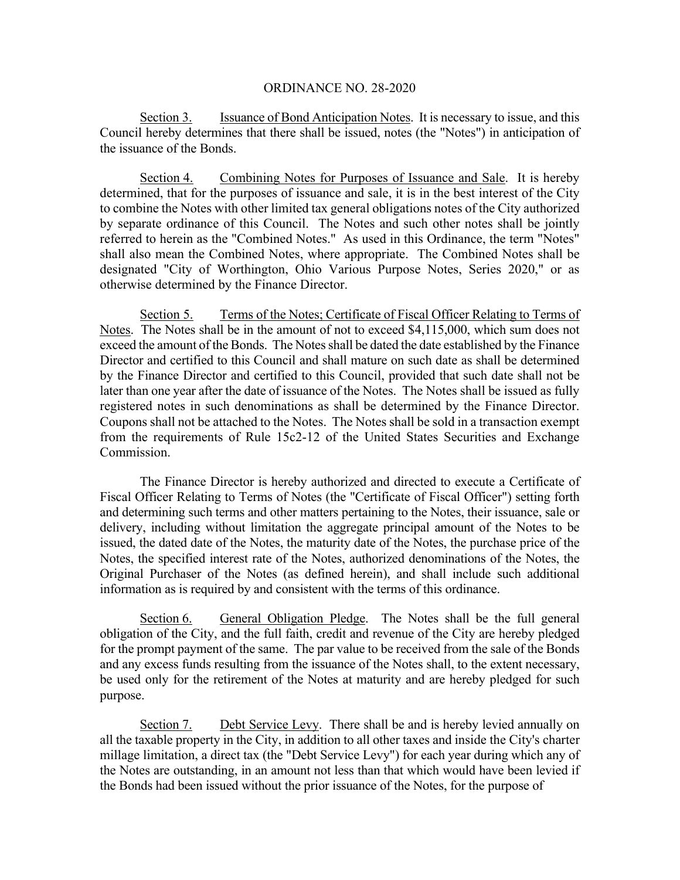Section 3. Issuance of Bond Anticipation Notes. It is necessary to issue, and this Council hereby determines that there shall be issued, notes (the "Notes") in anticipation of the issuance of the Bonds.

Section 4. Combining Notes for Purposes of Issuance and Sale. It is hereby determined, that for the purposes of issuance and sale, it is in the best interest of the City to combine the Notes with other limited tax general obligations notes of the City authorized by separate ordinance of this Council. The Notes and such other notes shall be jointly referred to herein as the "Combined Notes." As used in this Ordinance, the term "Notes" shall also mean the Combined Notes, where appropriate. The Combined Notes shall be designated "City of Worthington, Ohio Various Purpose Notes, Series 2020," or as otherwise determined by the Finance Director.

Section 5. Terms of the Notes; Certificate of Fiscal Officer Relating to Terms of Notes. The Notes shall be in the amount of not to exceed \$4,115,000, which sum does not exceed the amount of the Bonds. The Notes shall be dated the date established by the Finance Director and certified to this Council and shall mature on such date as shall be determined by the Finance Director and certified to this Council, provided that such date shall not be later than one year after the date of issuance of the Notes. The Notes shall be issued as fully registered notes in such denominations as shall be determined by the Finance Director. Coupons shall not be attached to the Notes. The Notes shall be sold in a transaction exempt from the requirements of Rule 15c2-12 of the United States Securities and Exchange Commission.

 The Finance Director is hereby authorized and directed to execute a Certificate of Fiscal Officer Relating to Terms of Notes (the "Certificate of Fiscal Officer") setting forth and determining such terms and other matters pertaining to the Notes, their issuance, sale or delivery, including without limitation the aggregate principal amount of the Notes to be issued, the dated date of the Notes, the maturity date of the Notes, the purchase price of the Notes, the specified interest rate of the Notes, authorized denominations of the Notes, the Original Purchaser of the Notes (as defined herein), and shall include such additional information as is required by and consistent with the terms of this ordinance.

Section 6. General Obligation Pledge. The Notes shall be the full general obligation of the City, and the full faith, credit and revenue of the City are hereby pledged for the prompt payment of the same. The par value to be received from the sale of the Bonds and any excess funds resulting from the issuance of the Notes shall, to the extent necessary, be used only for the retirement of the Notes at maturity and are hereby pledged for such purpose.

Section 7. Debt Service Levy. There shall be and is hereby levied annually on all the taxable property in the City, in addition to all other taxes and inside the City's charter millage limitation, a direct tax (the "Debt Service Levy") for each year during which any of the Notes are outstanding, in an amount not less than that which would have been levied if the Bonds had been issued without the prior issuance of the Notes, for the purpose of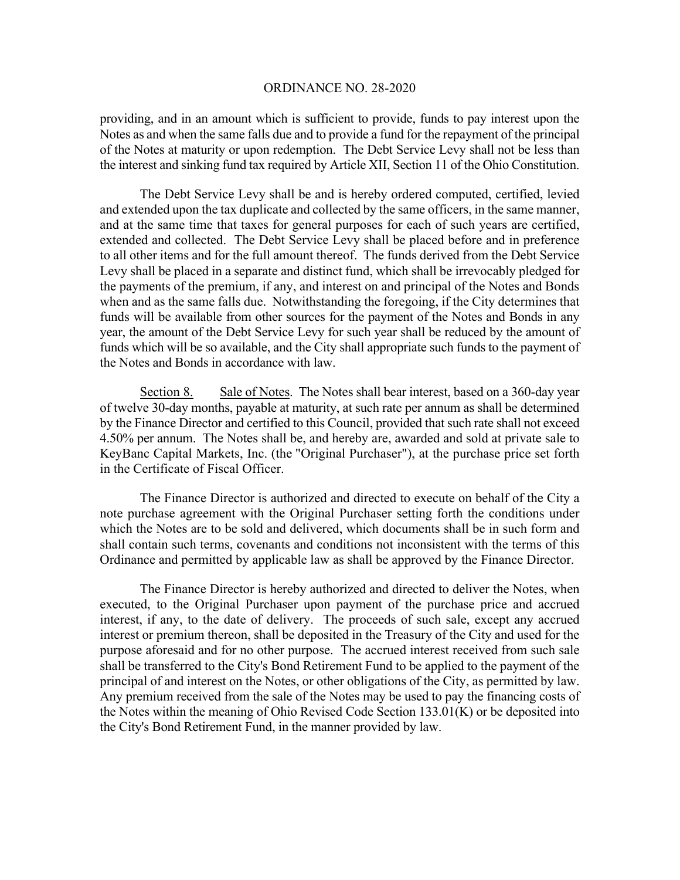providing, and in an amount which is sufficient to provide, funds to pay interest upon the Notes as and when the same falls due and to provide a fund for the repayment of the principal of the Notes at maturity or upon redemption. The Debt Service Levy shall not be less than the interest and sinking fund tax required by Article XII, Section 11 of the Ohio Constitution.

The Debt Service Levy shall be and is hereby ordered computed, certified, levied and extended upon the tax duplicate and collected by the same officers, in the same manner, and at the same time that taxes for general purposes for each of such years are certified, extended and collected. The Debt Service Levy shall be placed before and in preference to all other items and for the full amount thereof. The funds derived from the Debt Service Levy shall be placed in a separate and distinct fund, which shall be irrevocably pledged for the payments of the premium, if any, and interest on and principal of the Notes and Bonds when and as the same falls due. Notwithstanding the foregoing, if the City determines that funds will be available from other sources for the payment of the Notes and Bonds in any year, the amount of the Debt Service Levy for such year shall be reduced by the amount of funds which will be so available, and the City shall appropriate such funds to the payment of the Notes and Bonds in accordance with law.

Section 8. Sale of Notes. The Notes shall bear interest, based on a 360-day year of twelve 30-day months, payable at maturity, at such rate per annum as shall be determined by the Finance Director and certified to this Council, provided that such rate shall not exceed 4.50% per annum. The Notes shall be, and hereby are, awarded and sold at private sale to KeyBanc Capital Markets, Inc. (the "Original Purchaser"), at the purchase price set forth in the Certificate of Fiscal Officer.

The Finance Director is authorized and directed to execute on behalf of the City a note purchase agreement with the Original Purchaser setting forth the conditions under which the Notes are to be sold and delivered, which documents shall be in such form and shall contain such terms, covenants and conditions not inconsistent with the terms of this Ordinance and permitted by applicable law as shall be approved by the Finance Director.

The Finance Director is hereby authorized and directed to deliver the Notes, when executed, to the Original Purchaser upon payment of the purchase price and accrued interest, if any, to the date of delivery. The proceeds of such sale, except any accrued interest or premium thereon, shall be deposited in the Treasury of the City and used for the purpose aforesaid and for no other purpose. The accrued interest received from such sale shall be transferred to the City's Bond Retirement Fund to be applied to the payment of the principal of and interest on the Notes, or other obligations of the City, as permitted by law. Any premium received from the sale of the Notes may be used to pay the financing costs of the Notes within the meaning of Ohio Revised Code Section  $133.01(K)$  or be deposited into the City's Bond Retirement Fund, in the manner provided by law.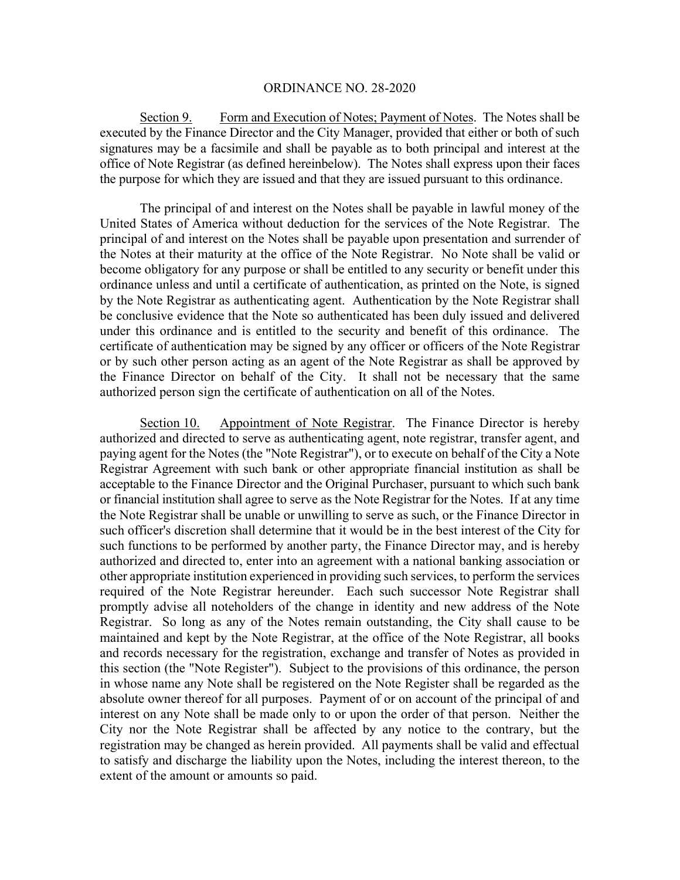Section 9. Form and Execution of Notes; Payment of Notes. The Notes shall be executed by the Finance Director and the City Manager, provided that either or both of such signatures may be a facsimile and shall be payable as to both principal and interest at the office of Note Registrar (as defined hereinbelow). The Notes shall express upon their faces the purpose for which they are issued and that they are issued pursuant to this ordinance.

 The principal of and interest on the Notes shall be payable in lawful money of the United States of America without deduction for the services of the Note Registrar. The principal of and interest on the Notes shall be payable upon presentation and surrender of the Notes at their maturity at the office of the Note Registrar. No Note shall be valid or become obligatory for any purpose or shall be entitled to any security or benefit under this ordinance unless and until a certificate of authentication, as printed on the Note, is signed by the Note Registrar as authenticating agent. Authentication by the Note Registrar shall be conclusive evidence that the Note so authenticated has been duly issued and delivered under this ordinance and is entitled to the security and benefit of this ordinance. The certificate of authentication may be signed by any officer or officers of the Note Registrar or by such other person acting as an agent of the Note Registrar as shall be approved by the Finance Director on behalf of the City. It shall not be necessary that the same authorized person sign the certificate of authentication on all of the Notes.

Section 10. Appointment of Note Registrar. The Finance Director is hereby authorized and directed to serve as authenticating agent, note registrar, transfer agent, and paying agent for the Notes (the "Note Registrar"), or to execute on behalf of the City a Note Registrar Agreement with such bank or other appropriate financial institution as shall be acceptable to the Finance Director and the Original Purchaser, pursuant to which such bank or financial institution shall agree to serve as the Note Registrar for the Notes. If at any time the Note Registrar shall be unable or unwilling to serve as such, or the Finance Director in such officer's discretion shall determine that it would be in the best interest of the City for such functions to be performed by another party, the Finance Director may, and is hereby authorized and directed to, enter into an agreement with a national banking association or other appropriate institution experienced in providing such services, to perform the services required of the Note Registrar hereunder. Each such successor Note Registrar shall promptly advise all noteholders of the change in identity and new address of the Note Registrar. So long as any of the Notes remain outstanding, the City shall cause to be maintained and kept by the Note Registrar, at the office of the Note Registrar, all books and records necessary for the registration, exchange and transfer of Notes as provided in this section (the "Note Register"). Subject to the provisions of this ordinance, the person in whose name any Note shall be registered on the Note Register shall be regarded as the absolute owner thereof for all purposes. Payment of or on account of the principal of and interest on any Note shall be made only to or upon the order of that person. Neither the City nor the Note Registrar shall be affected by any notice to the contrary, but the registration may be changed as herein provided. All payments shall be valid and effectual to satisfy and discharge the liability upon the Notes, including the interest thereon, to the extent of the amount or amounts so paid.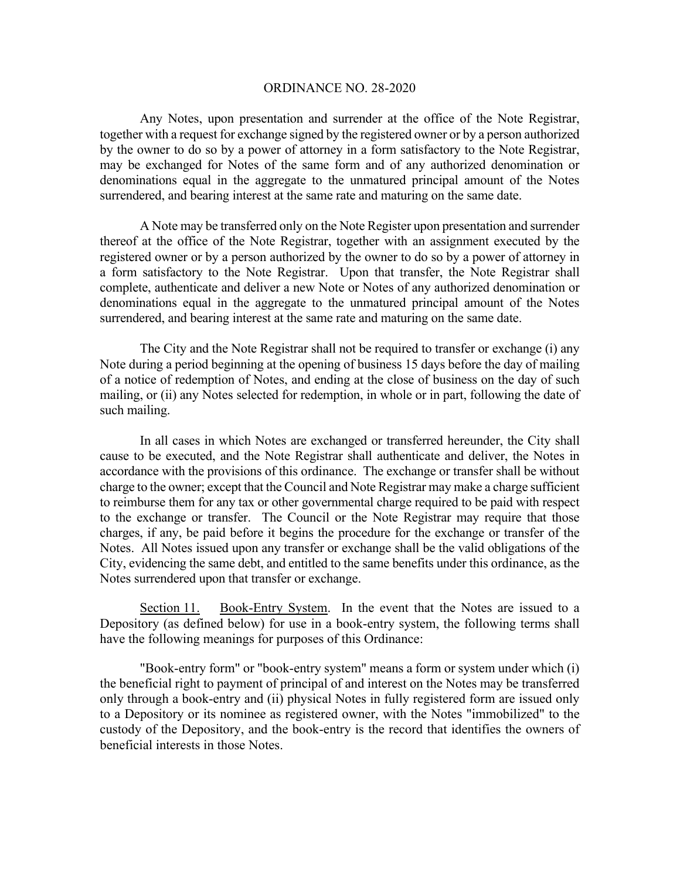Any Notes, upon presentation and surrender at the office of the Note Registrar, together with a request for exchange signed by the registered owner or by a person authorized by the owner to do so by a power of attorney in a form satisfactory to the Note Registrar, may be exchanged for Notes of the same form and of any authorized denomination or denominations equal in the aggregate to the unmatured principal amount of the Notes surrendered, and bearing interest at the same rate and maturing on the same date.

A Note may be transferred only on the Note Register upon presentation and surrender thereof at the office of the Note Registrar, together with an assignment executed by the registered owner or by a person authorized by the owner to do so by a power of attorney in a form satisfactory to the Note Registrar. Upon that transfer, the Note Registrar shall complete, authenticate and deliver a new Note or Notes of any authorized denomination or denominations equal in the aggregate to the unmatured principal amount of the Notes surrendered, and bearing interest at the same rate and maturing on the same date.

The City and the Note Registrar shall not be required to transfer or exchange (i) any Note during a period beginning at the opening of business 15 days before the day of mailing of a notice of redemption of Notes, and ending at the close of business on the day of such mailing, or (ii) any Notes selected for redemption, in whole or in part, following the date of such mailing.

In all cases in which Notes are exchanged or transferred hereunder, the City shall cause to be executed, and the Note Registrar shall authenticate and deliver, the Notes in accordance with the provisions of this ordinance. The exchange or transfer shall be without charge to the owner; except that the Council and Note Registrar may make a charge sufficient to reimburse them for any tax or other governmental charge required to be paid with respect to the exchange or transfer. The Council or the Note Registrar may require that those charges, if any, be paid before it begins the procedure for the exchange or transfer of the Notes. All Notes issued upon any transfer or exchange shall be the valid obligations of the City, evidencing the same debt, and entitled to the same benefits under this ordinance, as the Notes surrendered upon that transfer or exchange.

Section 11. Book-Entry System. In the event that the Notes are issued to a Depository (as defined below) for use in a book-entry system, the following terms shall have the following meanings for purposes of this Ordinance:

"Book-entry form" or "book-entry system" means a form or system under which (i) the beneficial right to payment of principal of and interest on the Notes may be transferred only through a book-entry and (ii) physical Notes in fully registered form are issued only to a Depository or its nominee as registered owner, with the Notes "immobilized" to the custody of the Depository, and the book-entry is the record that identifies the owners of beneficial interests in those Notes.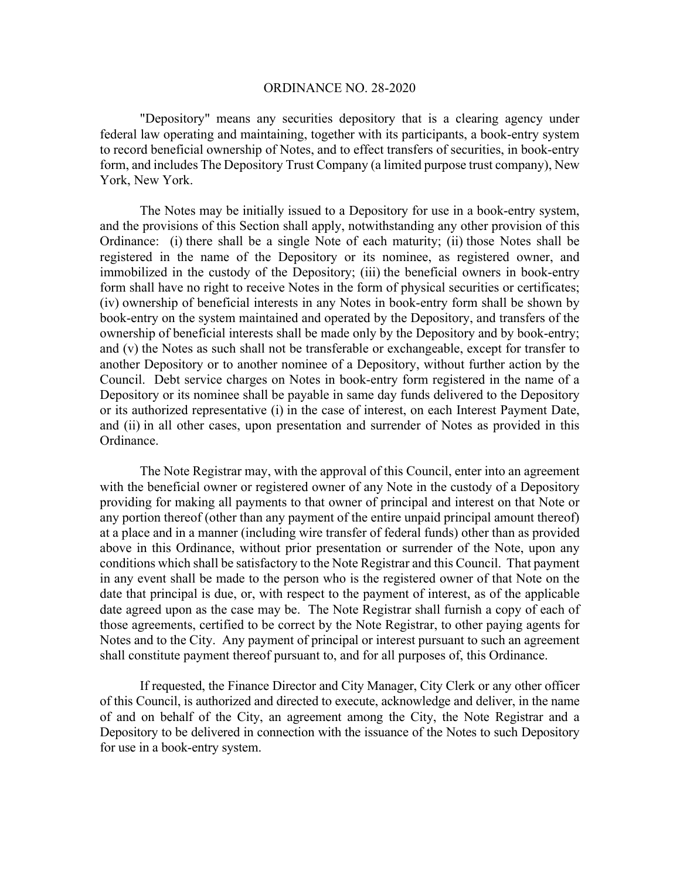"Depository" means any securities depository that is a clearing agency under federal law operating and maintaining, together with its participants, a book-entry system to record beneficial ownership of Notes, and to effect transfers of securities, in book-entry form, and includes The Depository Trust Company (a limited purpose trust company), New York, New York.

The Notes may be initially issued to a Depository for use in a book-entry system, and the provisions of this Section shall apply, notwithstanding any other provision of this Ordinance: (i) there shall be a single Note of each maturity; (ii) those Notes shall be registered in the name of the Depository or its nominee, as registered owner, and immobilized in the custody of the Depository; (iii) the beneficial owners in book-entry form shall have no right to receive Notes in the form of physical securities or certificates; (iv) ownership of beneficial interests in any Notes in book-entry form shall be shown by book-entry on the system maintained and operated by the Depository, and transfers of the ownership of beneficial interests shall be made only by the Depository and by book-entry; and (v) the Notes as such shall not be transferable or exchangeable, except for transfer to another Depository or to another nominee of a Depository, without further action by the Council. Debt service charges on Notes in book-entry form registered in the name of a Depository or its nominee shall be payable in same day funds delivered to the Depository or its authorized representative (i) in the case of interest, on each Interest Payment Date, and (ii) in all other cases, upon presentation and surrender of Notes as provided in this Ordinance.

The Note Registrar may, with the approval of this Council, enter into an agreement with the beneficial owner or registered owner of any Note in the custody of a Depository providing for making all payments to that owner of principal and interest on that Note or any portion thereof (other than any payment of the entire unpaid principal amount thereof) at a place and in a manner (including wire transfer of federal funds) other than as provided above in this Ordinance, without prior presentation or surrender of the Note, upon any conditions which shall be satisfactory to the Note Registrar and this Council. That payment in any event shall be made to the person who is the registered owner of that Note on the date that principal is due, or, with respect to the payment of interest, as of the applicable date agreed upon as the case may be. The Note Registrar shall furnish a copy of each of those agreements, certified to be correct by the Note Registrar, to other paying agents for Notes and to the City. Any payment of principal or interest pursuant to such an agreement shall constitute payment thereof pursuant to, and for all purposes of, this Ordinance.

If requested, the Finance Director and City Manager, City Clerk or any other officer of this Council, is authorized and directed to execute, acknowledge and deliver, in the name of and on behalf of the City, an agreement among the City, the Note Registrar and a Depository to be delivered in connection with the issuance of the Notes to such Depository for use in a book-entry system.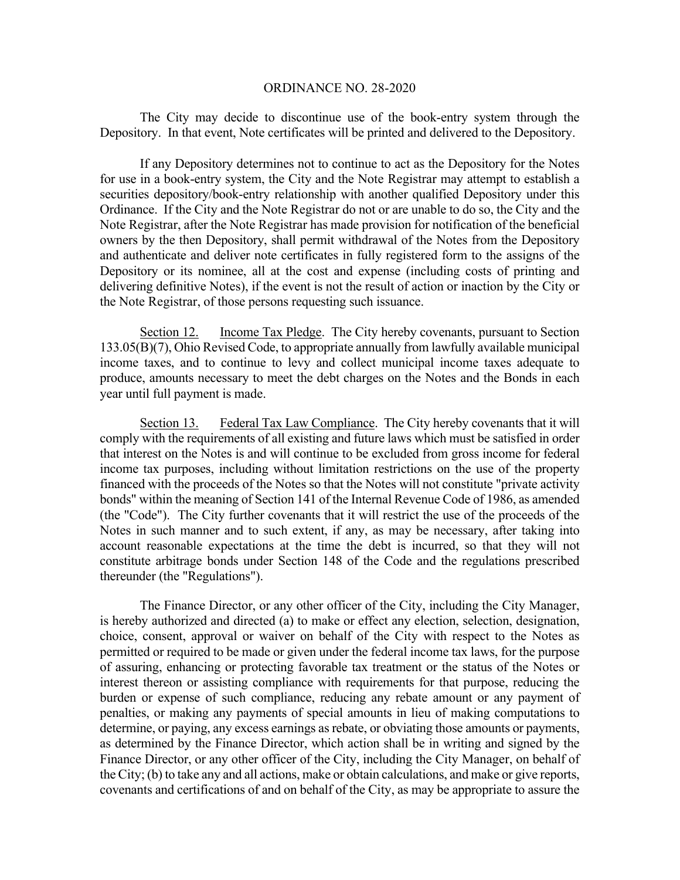The City may decide to discontinue use of the book-entry system through the Depository. In that event, Note certificates will be printed and delivered to the Depository.

If any Depository determines not to continue to act as the Depository for the Notes for use in a book-entry system, the City and the Note Registrar may attempt to establish a securities depository/book-entry relationship with another qualified Depository under this Ordinance. If the City and the Note Registrar do not or are unable to do so, the City and the Note Registrar, after the Note Registrar has made provision for notification of the beneficial owners by the then Depository, shall permit withdrawal of the Notes from the Depository and authenticate and deliver note certificates in fully registered form to the assigns of the Depository or its nominee, all at the cost and expense (including costs of printing and delivering definitive Notes), if the event is not the result of action or inaction by the City or the Note Registrar, of those persons requesting such issuance.

Section 12. Income Tax Pledge. The City hereby covenants, pursuant to Section 133.05(B)(7), Ohio Revised Code, to appropriate annually from lawfully available municipal income taxes, and to continue to levy and collect municipal income taxes adequate to produce, amounts necessary to meet the debt charges on the Notes and the Bonds in each year until full payment is made.

Section 13. Federal Tax Law Compliance. The City hereby covenants that it will comply with the requirements of all existing and future laws which must be satisfied in order that interest on the Notes is and will continue to be excluded from gross income for federal income tax purposes, including without limitation restrictions on the use of the property financed with the proceeds of the Notes so that the Notes will not constitute "private activity bonds" within the meaning of Section 141 of the Internal Revenue Code of 1986, as amended (the "Code"). The City further covenants that it will restrict the use of the proceeds of the Notes in such manner and to such extent, if any, as may be necessary, after taking into account reasonable expectations at the time the debt is incurred, so that they will not constitute arbitrage bonds under Section 148 of the Code and the regulations prescribed thereunder (the "Regulations").

 The Finance Director, or any other officer of the City, including the City Manager, is hereby authorized and directed (a) to make or effect any election, selection, designation, choice, consent, approval or waiver on behalf of the City with respect to the Notes as permitted or required to be made or given under the federal income tax laws, for the purpose of assuring, enhancing or protecting favorable tax treatment or the status of the Notes or interest thereon or assisting compliance with requirements for that purpose, reducing the burden or expense of such compliance, reducing any rebate amount or any payment of penalties, or making any payments of special amounts in lieu of making computations to determine, or paying, any excess earnings as rebate, or obviating those amounts or payments, as determined by the Finance Director, which action shall be in writing and signed by the Finance Director, or any other officer of the City, including the City Manager, on behalf of the City; (b) to take any and all actions, make or obtain calculations, and make or give reports, covenants and certifications of and on behalf of the City, as may be appropriate to assure the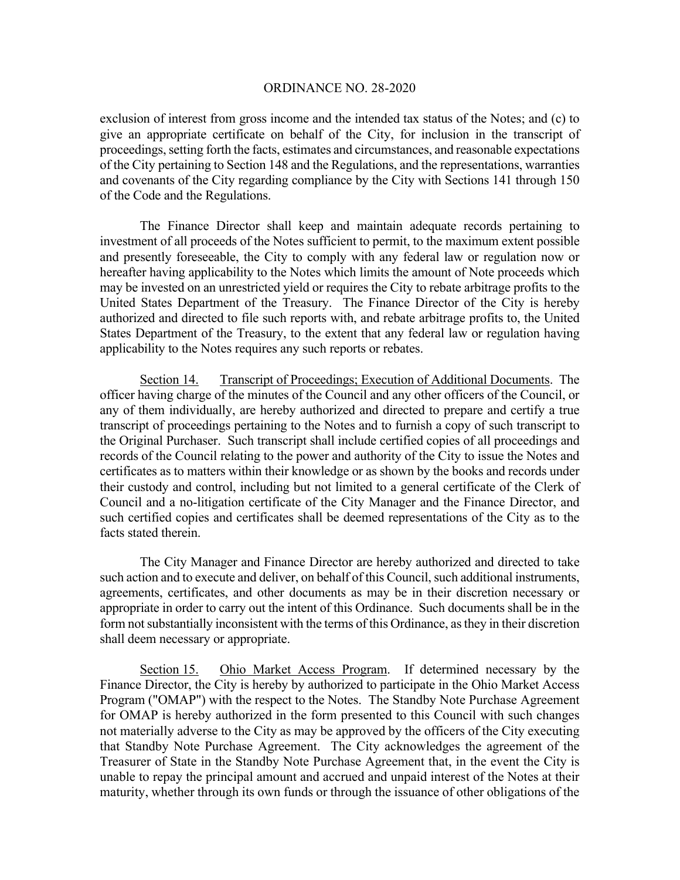exclusion of interest from gross income and the intended tax status of the Notes; and (c) to give an appropriate certificate on behalf of the City, for inclusion in the transcript of proceedings, setting forth the facts, estimates and circumstances, and reasonable expectations of the City pertaining to Section 148 and the Regulations, and the representations, warranties and covenants of the City regarding compliance by the City with Sections 141 through 150 of the Code and the Regulations.

 The Finance Director shall keep and maintain adequate records pertaining to investment of all proceeds of the Notes sufficient to permit, to the maximum extent possible and presently foreseeable, the City to comply with any federal law or regulation now or hereafter having applicability to the Notes which limits the amount of Note proceeds which may be invested on an unrestricted yield or requires the City to rebate arbitrage profits to the United States Department of the Treasury. The Finance Director of the City is hereby authorized and directed to file such reports with, and rebate arbitrage profits to, the United States Department of the Treasury, to the extent that any federal law or regulation having applicability to the Notes requires any such reports or rebates.

Section 14. Transcript of Proceedings; Execution of Additional Documents. The officer having charge of the minutes of the Council and any other officers of the Council, or any of them individually, are hereby authorized and directed to prepare and certify a true transcript of proceedings pertaining to the Notes and to furnish a copy of such transcript to the Original Purchaser. Such transcript shall include certified copies of all proceedings and records of the Council relating to the power and authority of the City to issue the Notes and certificates as to matters within their knowledge or as shown by the books and records under their custody and control, including but not limited to a general certificate of the Clerk of Council and a no-litigation certificate of the City Manager and the Finance Director, and such certified copies and certificates shall be deemed representations of the City as to the facts stated therein.

The City Manager and Finance Director are hereby authorized and directed to take such action and to execute and deliver, on behalf of this Council, such additional instruments, agreements, certificates, and other documents as may be in their discretion necessary or appropriate in order to carry out the intent of this Ordinance. Such documents shall be in the form not substantially inconsistent with the terms of this Ordinance, as they in their discretion shall deem necessary or appropriate.

Section 15. Ohio Market Access Program. If determined necessary by the Finance Director, the City is hereby by authorized to participate in the Ohio Market Access Program ("OMAP") with the respect to the Notes. The Standby Note Purchase Agreement for OMAP is hereby authorized in the form presented to this Council with such changes not materially adverse to the City as may be approved by the officers of the City executing that Standby Note Purchase Agreement. The City acknowledges the agreement of the Treasurer of State in the Standby Note Purchase Agreement that, in the event the City is unable to repay the principal amount and accrued and unpaid interest of the Notes at their maturity, whether through its own funds or through the issuance of other obligations of the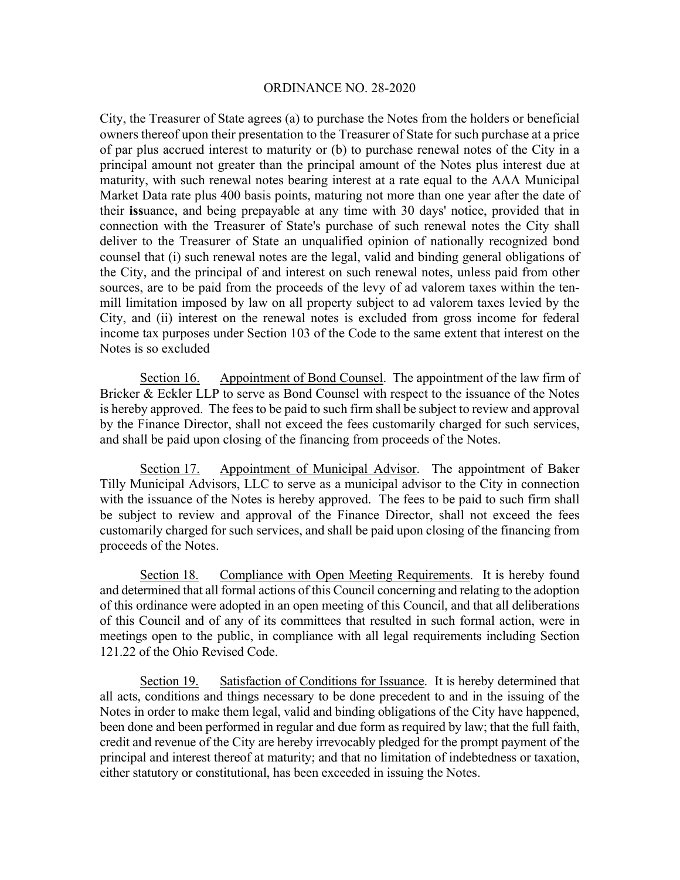City, the Treasurer of State agrees (a) to purchase the Notes from the holders or beneficial owners thereof upon their presentation to the Treasurer of State for such purchase at a price of par plus accrued interest to maturity or (b) to purchase renewal notes of the City in a principal amount not greater than the principal amount of the Notes plus interest due at maturity, with such renewal notes bearing interest at a rate equal to the AAA Municipal Market Data rate plus 400 basis points, maturing not more than one year after the date of their **iss**uance, and being prepayable at any time with 30 days' notice, provided that in connection with the Treasurer of State's purchase of such renewal notes the City shall deliver to the Treasurer of State an unqualified opinion of nationally recognized bond counsel that (i) such renewal notes are the legal, valid and binding general obligations of the City, and the principal of and interest on such renewal notes, unless paid from other sources, are to be paid from the proceeds of the levy of ad valorem taxes within the tenmill limitation imposed by law on all property subject to ad valorem taxes levied by the City, and (ii) interest on the renewal notes is excluded from gross income for federal income tax purposes under Section 103 of the Code to the same extent that interest on the Notes is so excluded

Section 16. Appointment of Bond Counsel. The appointment of the law firm of Bricker & Eckler LLP to serve as Bond Counsel with respect to the issuance of the Notes is hereby approved. The fees to be paid to such firm shall be subject to review and approval by the Finance Director, shall not exceed the fees customarily charged for such services, and shall be paid upon closing of the financing from proceeds of the Notes.

Section 17. Appointment of Municipal Advisor. The appointment of Baker Tilly Municipal Advisors, LLC to serve as a municipal advisor to the City in connection with the issuance of the Notes is hereby approved. The fees to be paid to such firm shall be subject to review and approval of the Finance Director, shall not exceed the fees customarily charged for such services, and shall be paid upon closing of the financing from proceeds of the Notes.

Section 18. Compliance with Open Meeting Requirements. It is hereby found and determined that all formal actions of this Council concerning and relating to the adoption of this ordinance were adopted in an open meeting of this Council, and that all deliberations of this Council and of any of its committees that resulted in such formal action, were in meetings open to the public, in compliance with all legal requirements including Section 121.22 of the Ohio Revised Code.

Section 19. Satisfaction of Conditions for Issuance. It is hereby determined that all acts, conditions and things necessary to be done precedent to and in the issuing of the Notes in order to make them legal, valid and binding obligations of the City have happened, been done and been performed in regular and due form as required by law; that the full faith, credit and revenue of the City are hereby irrevocably pledged for the prompt payment of the principal and interest thereof at maturity; and that no limitation of indebtedness or taxation, either statutory or constitutional, has been exceeded in issuing the Notes.